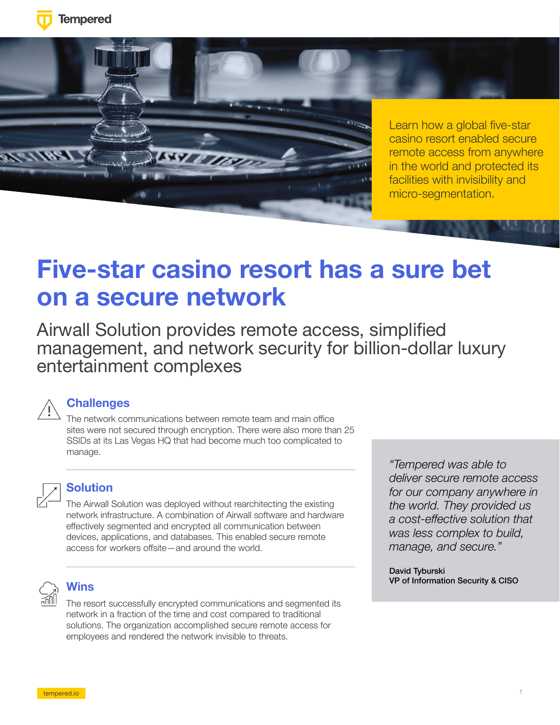



# **Five-star casino resort has a sure bet on a secure network**

Airwall Solution provides remote access, simplified management, and network security for billion-dollar luxury entertainment complexes



### **Challenges**

The network communications between remote team and main office sites were not secured through encryption. There were also more than 25 SSIDs at its Las Vegas HQ that had become much too complicated to manage.



### **Solution**

The Airwall Solution was deployed without rearchitecting the existing network infrastructure. A combination of Airwall software and hardware effectively segmented and encrypted all communication between devices, applications, and databases. This enabled secure remote access for workers offsite—and around the world.



#### **Wins**

The resort successfully encrypted communications and segmented its network in a fraction of the time and cost compared to traditional solutions. The organization accomplished secure remote access for employees and rendered the network invisible to threats.

*"Tempered was able to deliver secure remote access for our company anywhere in the world. They provided us a cost-effective solution that was less complex to build, manage, and secure."*

David Tyburski VP of Information Security & CISO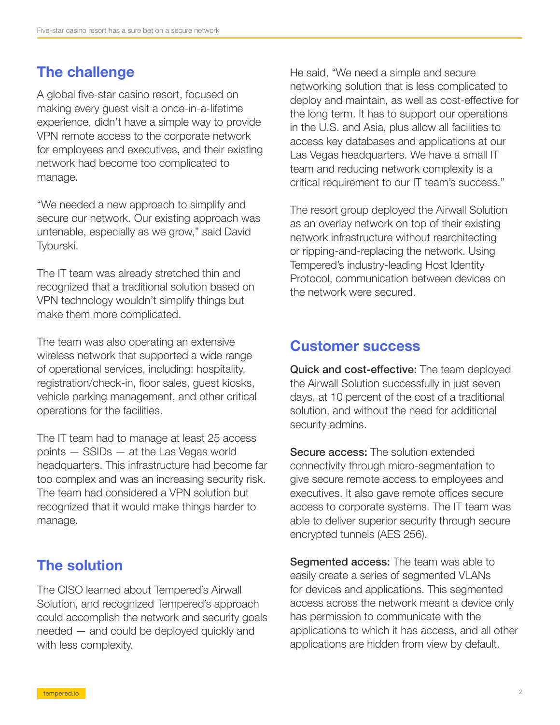# The challenge

A global five-star casino resort, focused on making every guest visit a once-in-a-lifetime experience, didn't have a simple way to provide VPN remote access to the corporate network for employees and executives, and their existing network had become too complicated to manage.

"We needed a new approach to simplify and secure our network. Our existing approach was untenable, especially as we grow," said David Tyburski.

The IT team was already stretched thin and recognized that a traditional solution based on VPN technology wouldn't simplify things but make them more complicated.

The team was also operating an extensive wireless network that supported a wide range of operational services, including: hospitality, registration/check-in, floor sales, guest kiosks, vehicle parking management, and other critical operations for the facilities.

The IT team had to manage at least 25 access points — SSIDs — at the Las Vegas world headquarters. This infrastructure had become far too complex and was an increasing security risk. The team had considered a VPN solution but recognized that it would make things harder to manage.

# The solution

The CISO learned about Tempered's Airwall Solution, and recognized Tempered's approach could accomplish the network and security goals needed — and could be deployed quickly and with less complexity.

He said, "We need a simple and secure networking solution that is less complicated to deploy and maintain, as well as cost-effective for the long term. It has to support our operations in the U.S. and Asia, plus allow all facilities to access key databases and applications at our Las Vegas headquarters. We have a small IT team and reducing network complexity is a critical requirement to our IT team's success."

The resort group deployed the Airwall Solution as an overlay network on top of their existing network infrastructure without rearchitecting or ripping-and-replacing the network. Using Tempered's industry-leading Host Identity Protocol, communication between devices on the network were secured.

## Customer success

Quick and cost-effective: The team deployed the Airwall Solution successfully in just seven days, at 10 percent of the cost of a traditional solution, and without the need for additional security admins.

Secure access: The solution extended connectivity through micro-segmentation to give secure remote access to employees and executives. It also gave remote offices secure access to corporate systems. The IT team was able to deliver superior security through secure encrypted tunnels (AES 256).

**Segmented access:** The team was able to easily create a series of segmented VLANs for devices and applications. This segmented access across the network meant a device only has permission to communicate with the applications to which it has access, and all other applications are hidden from view by default.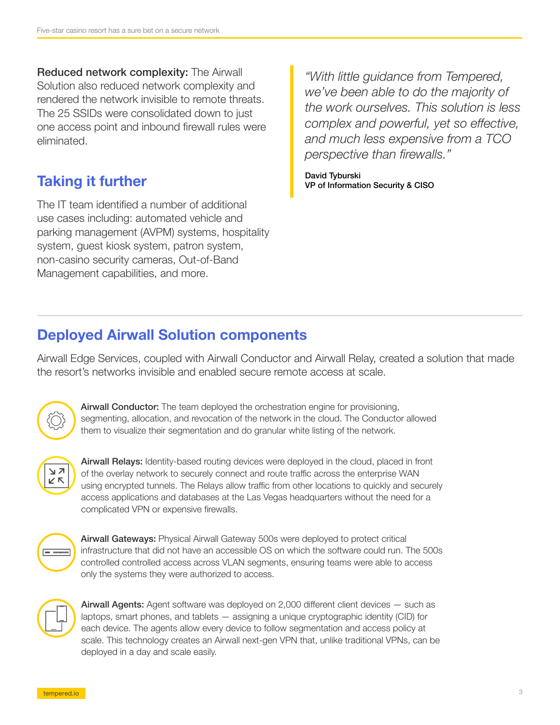Reduced network complexity: The Airwall Solution also reduced network complexity and rendered the network invisible to remote threats. The 25 SSIDs were consolidated down to just one access point and inbound firewall rules were eliminated.

# Taking it further

The IT team identified a number of additional use cases including: automated vehicle and parking management (AVPM) systems, hospitality system, guest kiosk system, patron system, non-casino security cameras, Out-of-Band Management capabilities, and more.

*"With little guidance from Tempered, we've been able to do the majority of the work ourselves. This solution is less complex and powerful, yet so effective, and much less expensive from a TCO perspective than firewalls."*

David Tyburski VP of Information Security & CISO

# Deployed Airwall Solution components

Airwall Edge Services, coupled with Airwall Conductor and Airwall Relay, created a solution that made the resort's networks invisible and enabled secure remote access at scale.



Airwall Conductor: The team deployed the orchestration engine for provisioning, segmenting, allocation, and revocation of the network in the cloud. The Conductor allowed them to visualize their segmentation and do granular white listing of the network.



Airwall Relays: Identity-based routing devices were deployed in the cloud, placed in front of the overlay network to securely connect and route traffic across the enterprise WAN using encrypted tunnels. The Relays allow traffic from other locations to quickly and securely access applications and databases at the Las Vegas headquarters without the need for a complicated VPN or expensive firewalls.



Airwall Gateways: Physical Airwall Gateway 500s were deployed to protect critical infrastructure that did not have an accessible OS on which the software could run. The 500s controlled controlled access across VLAN segments, ensuring teams were able to access only the systems they were authorized to access.



Airwall Agents: Agent software was deployed on 2,000 different client devices — such as laptops, smart phones, and tablets — assigning a unique cryptographic identity (CID) for each device. The agents allow every device to follow segmentation and access policy at scale. This technology creates an Airwall next-gen VPN that, unlike traditional VPNs, can be deployed in a day and scale easily.